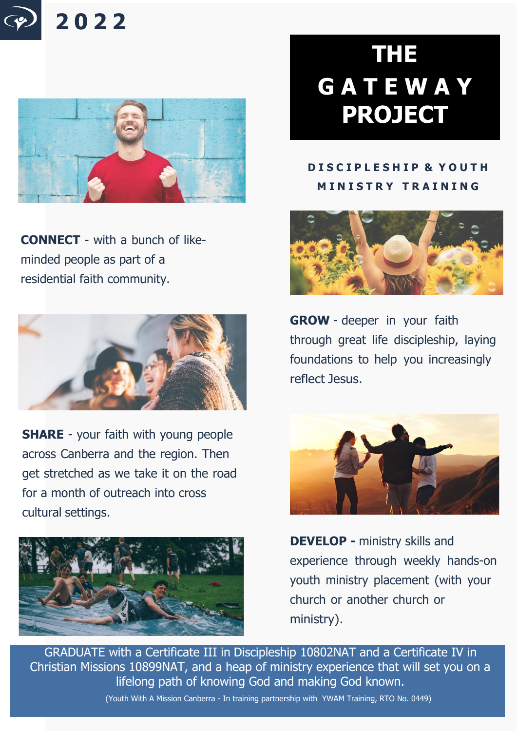

**2 0 2 2**



**CONNECT** - with a bunch of likeminded people as part of a residential faith community.



**SHARE** - your faith with young people across Canberra and the region. Then get stretched as we take it on the road for a month of outreach into cross cultural settings.



# **THE G A T E W A Y PROJECT**

#### **D I S C I P L E S H I P & Y O U T H M I N I S T R Y T R A I N I N G**



**GROW** - deeper in your faith through great life discipleship, laying foundations to help you increasingly reflect Jesus.



**DEVELOP -** ministry skills and experience through weekly hands-on youth ministry placement (with your church or another church or ministry).

GRADUATE with a Certificate III in Discipleship 10802NAT and a Certificate IV in Christian Missions 10899NAT, and a heap of ministry experience that will set you on a lifelong path of knowing God and making God known.

(Youth With A Mission Canberra - In training partnership with YWAM Training, RTO No. 0449)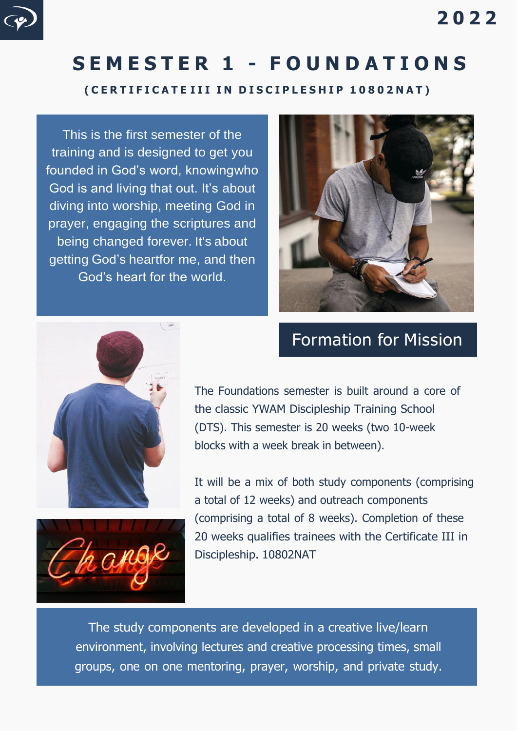## **2 0 2 2**

# **S E M E S T E R 1 - F O U N D A T I O N S**

(CERTIFICATEIII IN DISCIPLESHIP 10802NAT)

This is the first semester of the training and is designed to get you founded in God's word, knowingwho God is and living that out. It's about diving into worship, meeting God in prayer, engaging the scriptures and being changed forever. It's about getting God's heartfor me, and then God's heart for the world.



#### Formation for Mission



The Foundations semester is built around a core of the classic YWAM Discipleship Training School (DTS). This semester is 20 weeks (two 10-week blocks with a week break in between).

It will be a mix of both study components (comprising a total of 12 weeks) and outreach components (comprising a total of 8 weeks). Completion of these 20 weeks qualifies trainees with the Certificate III in Discipleship. 10802NAT

The study components are developed in a creative live/learn environment, involving lectures and creative processing times, small groups, one on one mentoring, prayer, worship, and private study.



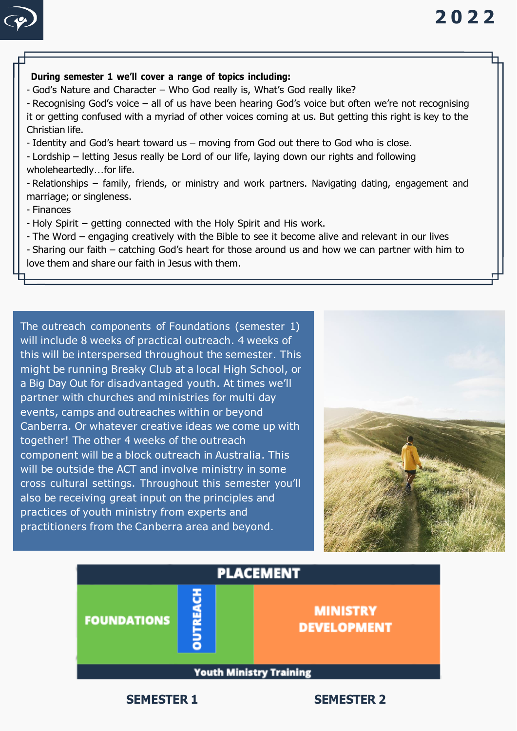#### **During semester 1 we'll cover a range of topics including:** - God's Nature and Character – Who God really is, What's God really like? - Recognising God's voice – all of us have been hearing God's voice but often we're not recognising it or getting confused with a myriad of other voices coming at us. But getting this right is key to the Christian life. - Identity and God's heart toward us – moving from God out there to God who is close. - Lordship – letting Jesus really be Lord of our life, laying down our rights and following wholeheartedly…for life. - Relationships – family, friends, or ministry and work partners. Navigating dating, engagement and marriage; or singleness. - Finances - Holy Spirit – getting connected with the Holy Spirit and His work. - The Word – engaging creatively with the Bible to see it become alive and relevant in our lives - Sharing our faith – catching God's heart for those around us and how we can partner with him to love them and share our faith in Jesus with them.

The outreach components of Foundations (semester 1) will include 8 weeks of practical outreach. 4 weeks of this will be interspersed throughout the semester. This might be running Breaky Club at a local High School, or a Big Day Out for disadvantaged youth. At times we'll partner with churches and ministries for multi day events, camps and outreaches within or beyond Canberra. Or whatever creative ideas we come up with together! The other 4 weeks of the outreach component will be a block outreach in Australia. This will be outside the ACT and involve ministry in some cross cultural settings. Throughout this semester you'll also be receiving great input on the principles and practices of youth ministry from experts and practitioners from the Canberra area and beyond.





#### **SEMESTER 1 SEMESTER 2**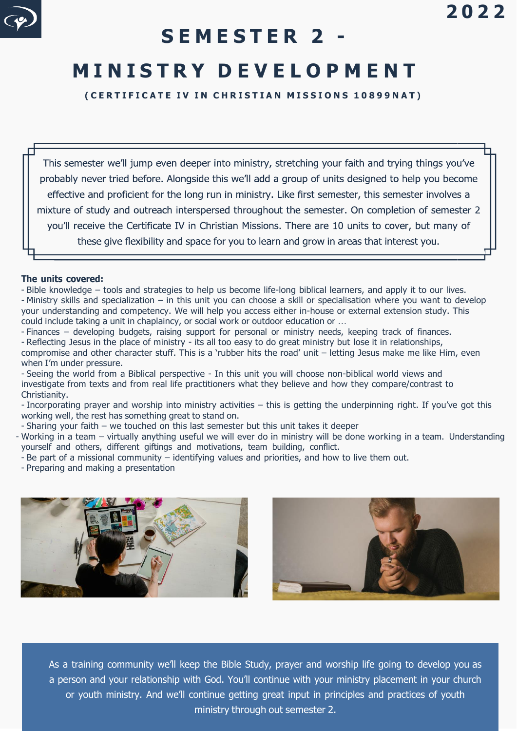# **S E M E S T E R 2 -**

(CERTIFICATE IV IN CHRISTIAN MISSIONS 10899NAT)

This semester we'll jump even deeper into ministry, stretching your faith and trying things you've probably never tried before. Alongside this we'll add a group of units designed to help you become effective and proficient for the long run in ministry. Like first semester, this semester involves a mixture of study and outreach interspersed throughout the semester. On completion of semester 2 you'll receive the Certificate IV in Christian Missions. There are 10 units to cover, but many of these give flexibility and space for you to learn and grow in areas that interest you.

#### **The units covered:**

- Bible knowledge – tools and strategies to help us become life-long biblical learners, and apply it to our lives. - Ministry skills and specialization – in this unit you can choose a skill or specialisation where you want to develop your understanding and competency. We will help you access either in-house or external extension study. This could include taking a unit in chaplaincy, or social work or outdoor education or …

- Finances – developing budgets, raising support for personal or ministry needs, keeping track of finances. - Reflecting Jesus in the place of ministry - its all too easy to do great ministry but lose it in relationships, compromise and other character stuff. This is a 'rubber hits the road' unit – letting Jesus make me like Him, even when I'm under pressure.

- Seeing the world from a Biblical perspective - In this unit you will choose non-biblical world views and investigate from texts and from real life practitioners what they believe and how they compare/contrast to Christianity.

- Incorporating prayer and worship into ministry activities – this is getting the underpinning right. If you've got this working well, the rest has something great to stand on.

- Sharing your faith – we touched on this last semester but this unit takes it deeper

- Working in a team – virtually anything useful we will ever do in ministry will be done working in a team. Understanding yourself and others, different giftings and motivations, team building, conflict.

- Be part of a missional community – identifying values and priorities, and how to live them out.

- Preparing and making a presentation





**2 0 2 2**

As a training community we'll keep the Bible Study, prayer and worship life going to develop you as a person and your relationship with God. You'll continue with your ministry placement in your church or youth ministry. And we'll continue getting great input in principles and practices of youth ministry through out semester 2.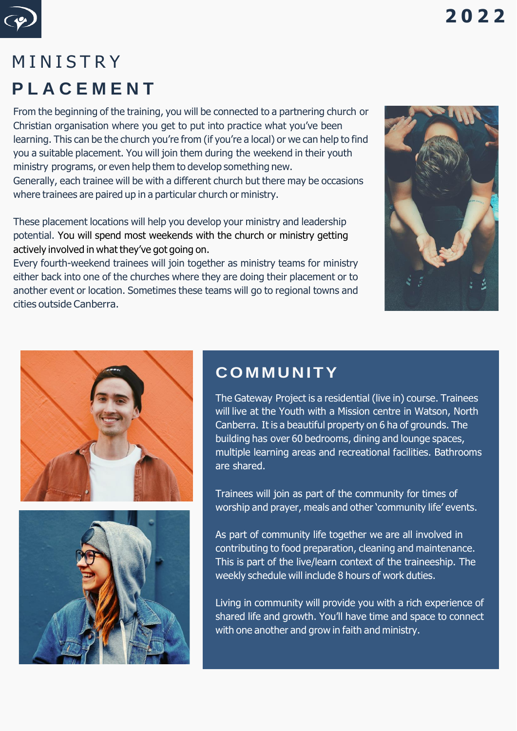

# **MINISTRY P L A C E M E N T**

From the beginning of the training, you will be connected to a partnering church or Christian organisation where you get to put into practice what you've been learning. This can be the church you're from (if you're a local) or we can help to find you a suitable placement. You will join them during the weekend in their youth ministry programs, or even help them to develop something new. Generally, each trainee will be with a different church but there may be occasions where trainees are paired up in a particular church or ministry.

These placement locations will help you develop your ministry and leadership potential. You will spend most weekends with the church or ministry getting actively involved in what they've got going on.

Every fourth-weekend trainees will join together as ministry teams for ministry either back into one of the churches where they are doing their placement or to another event or location. Sometimes these teams will go to regional towns and cities outside Canberra.







## **COMMUNITY**

The Gateway Project is a residential (live in) course. Trainees will live at the Youth with a Mission centre in Watson, North Canberra. It is a beautiful property on 6 ha of grounds. The building has over 60 bedrooms, dining and lounge spaces, multiple learning areas and recreational facilities. Bathrooms are shared.

Trainees will join as part of the community for times of worship and prayer, meals and other 'community life' events.

As part of community life together we are all involved in contributing to food preparation, cleaning and maintenance. This is part of the live/learn context of the traineeship. The weekly schedule will include 8 hours of work duties.

Living in community will provide you with a rich experience of shared life and growth. You'll have time and space to connect with one another and grow in faith and ministry.